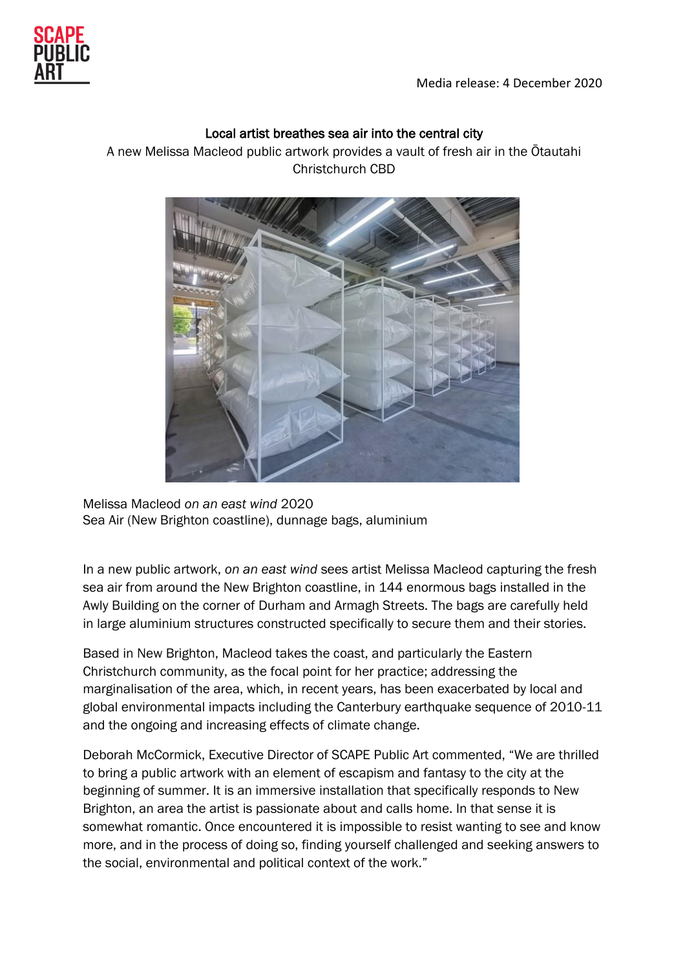

## Local artist breathes sea air into the central city

A new Melissa Macleod public artwork provides a vault of fresh air in the Ōtautahi Christchurch CBD



Melissa Macleod *on an east wind* 2020 Sea Air (New Brighton coastline), dunnage bags, aluminium

In a new public artwork, *on an east wind* sees artist Melissa Macleod capturing the fresh sea air from around the New Brighton coastline, in 144 enormous bags installed in the Awly Building on the corner of Durham and Armagh Streets. The bags are carefully held in large aluminium structures constructed specifically to secure them and their stories.

Based in New Brighton, Macleod takes the coast, and particularly the Eastern Christchurch community, as the focal point for her practice; addressing the marginalisation of the area, which, in recent years, has been exacerbated by local and global environmental impacts including the Canterbury earthquake sequence of 2010-11 and the ongoing and increasing effects of climate change.

Deborah McCormick, Executive Director of SCAPE Public Art commented, "We are thrilled to bring a public artwork with an element of escapism and fantasy to the city at the beginning of summer. It is an immersive installation that specifically responds to New Brighton, an area the artist is passionate about and calls home. In that sense it is somewhat romantic. Once encountered it is impossible to resist wanting to see and know more, and in the process of doing so, finding yourself challenged and seeking answers to the social, environmental and political context of the work."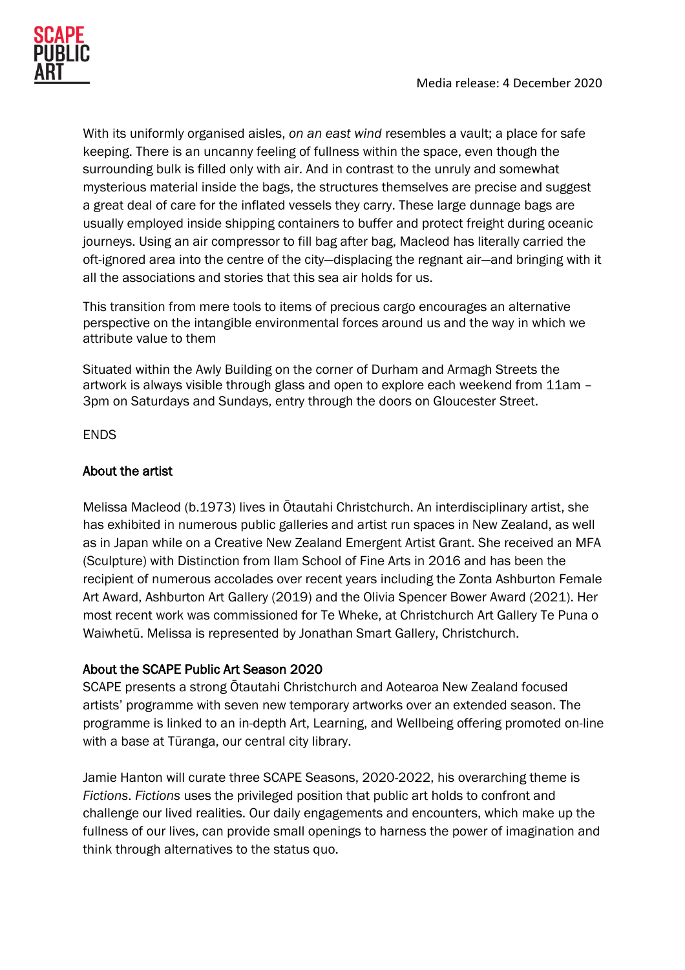

With its uniformly organised aisles, *on an east wind* resembles a vault; a place for safe keeping. There is an uncanny feeling of fullness within the space, even though the surrounding bulk is filled only with air. And in contrast to the unruly and somewhat mysterious material inside the bags, the structures themselves are precise and suggest a great deal of care for the inflated vessels they carry. These large dunnage bags are usually employed inside shipping containers to buffer and protect freight during oceanic journeys. Using an air compressor to fill bag after bag, Macleod has literally carried the oft-ignored area into the centre of the city—displacing the regnant air—and bringing with it all the associations and stories that this sea air holds for us.

This transition from mere tools to items of precious cargo encourages an alternative perspective on the intangible environmental forces around us and the way in which we attribute value to them

Situated within the Awly Building on the corner of Durham and Armagh Streets the artwork is always visible through glass and open to explore each weekend from 11am – 3pm on Saturdays and Sundays, entry through the doors on Gloucester Street.

ENDS

### About the artist

Melissa Macleod (b.1973) lives in Ōtautahi Christchurch. An interdisciplinary artist, she has exhibited in numerous public galleries and artist run spaces in New Zealand, as well as in Japan while on a Creative New Zealand Emergent Artist Grant. She received an MFA (Sculpture) with Distinction from Ilam School of Fine Arts in 2016 and has been the recipient of numerous accolades over recent years including the Zonta Ashburton Female Art Award, Ashburton Art Gallery (2019) and the Olivia Spencer Bower Award (2021). Her most recent work was commissioned for Te Wheke, at Christchurch Art Gallery Te Puna o Waiwhetū. Melissa is represented by Jonathan Smart Gallery, Christchurch.

# About the SCAPE Public Art Season 2020

SCAPE presents a strong Ōtautahi Christchurch and Aotearoa New Zealand focused artists' programme with seven new temporary artworks over an extended season. The programme is linked to an in-depth Art, Learning, and Wellbeing offering promoted on-line with a base at Tūranga, our central city library.

Jamie Hanton will curate three SCAPE Seasons, 2020-2022, his overarching theme is *Fictions*. *Fictions* uses the privileged position that public art holds to confront and challenge our lived realities. Our daily engagements and encounters, which make up the fullness of our lives, can provide small openings to harness the power of imagination and think through alternatives to the status quo.